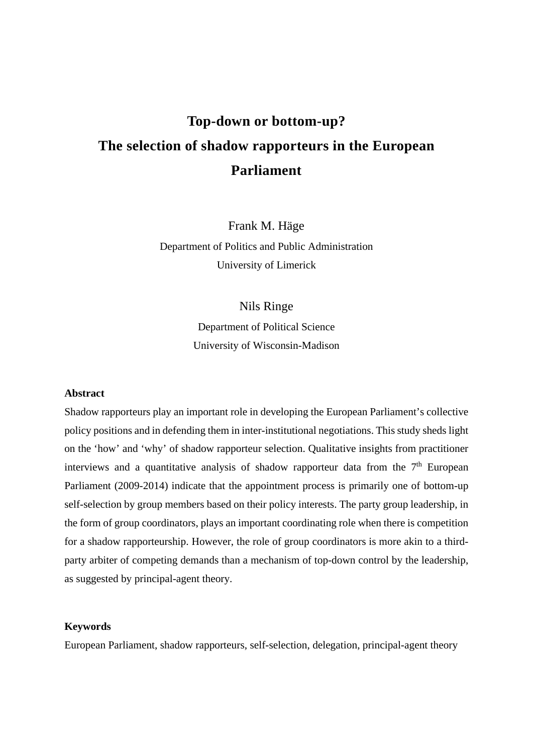# **Top-down or bottom-up? The selection of shadow rapporteurs in the European Parliament**

Frank M. Häge Department of Politics and Public Administration University of Limerick

## Nils Ringe

Department of Political Science University of Wisconsin-Madison

#### **Abstract**

Shadow rapporteurs play an important role in developing the European Parliament's collective policy positions and in defending them in inter-institutional negotiations. This study sheds light on the 'how' and 'why' of shadow rapporteur selection. Qualitative insights from practitioner interviews and a quantitative analysis of shadow rapporteur data from the  $7<sup>th</sup>$  European Parliament (2009-2014) indicate that the appointment process is primarily one of bottom-up self-selection by group members based on their policy interests. The party group leadership, in the form of group coordinators, plays an important coordinating role when there is competition for a shadow rapporteurship. However, the role of group coordinators is more akin to a thirdparty arbiter of competing demands than a mechanism of top-down control by the leadership, as suggested by principal-agent theory.

#### **Keywords**

European Parliament, shadow rapporteurs, self-selection, delegation, principal-agent theory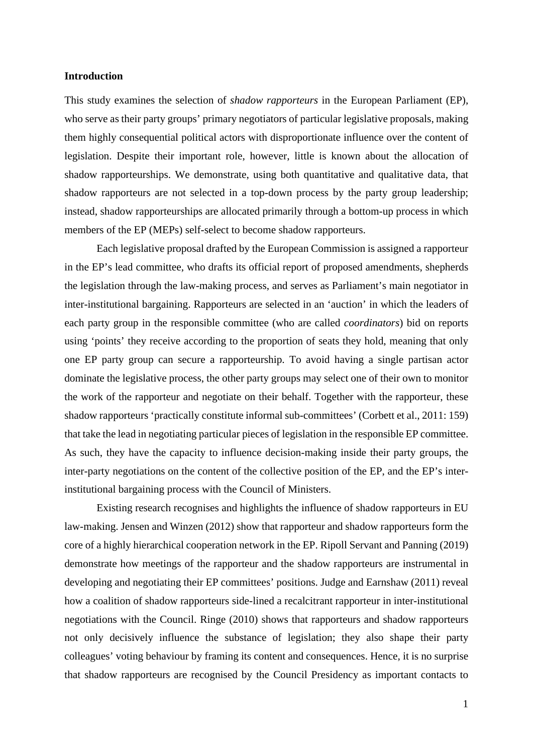## **Introduction**

This study examines the selection of *shadow rapporteurs* in the European Parliament (EP), who serve as their party groups' primary negotiators of particular legislative proposals, making them highly consequential political actors with disproportionate influence over the content of legislation. Despite their important role, however, little is known about the allocation of shadow rapporteurships. We demonstrate, using both quantitative and qualitative data, that shadow rapporteurs are not selected in a top-down process by the party group leadership; instead, shadow rapporteurships are allocated primarily through a bottom-up process in which members of the EP (MEPs) self-select to become shadow rapporteurs.

Each legislative proposal drafted by the European Commission is assigned a rapporteur in the EP's lead committee, who drafts its official report of proposed amendments, shepherds the legislation through the law-making process, and serves as Parliament's main negotiator in inter-institutional bargaining. Rapporteurs are selected in an 'auction' in which the leaders of each party group in the responsible committee (who are called *coordinators*) bid on reports using 'points' they receive according to the proportion of seats they hold, meaning that only one EP party group can secure a rapporteurship. To avoid having a single partisan actor dominate the legislative process, the other party groups may select one of their own to monitor the work of the rapporteur and negotiate on their behalf. Together with the rapporteur, these shadow rapporteurs 'practically constitute informal sub-committees' (Corbett et al., 2011: 159) that take the lead in negotiating particular pieces of legislation in the responsible EP committee. As such, they have the capacity to influence decision-making inside their party groups, the inter-party negotiations on the content of the collective position of the EP, and the EP's interinstitutional bargaining process with the Council of Ministers.

Existing research recognises and highlights the influence of shadow rapporteurs in EU law-making. Jensen and Winzen (2012) show that rapporteur and shadow rapporteurs form the core of a highly hierarchical cooperation network in the EP. Ripoll Servant and Panning (2019) demonstrate how meetings of the rapporteur and the shadow rapporteurs are instrumental in developing and negotiating their EP committees' positions. Judge and Earnshaw (2011) reveal how a coalition of shadow rapporteurs side-lined a recalcitrant rapporteur in inter-institutional negotiations with the Council. Ringe (2010) shows that rapporteurs and shadow rapporteurs not only decisively influence the substance of legislation; they also shape their party colleagues' voting behaviour by framing its content and consequences. Hence, it is no surprise that shadow rapporteurs are recognised by the Council Presidency as important contacts to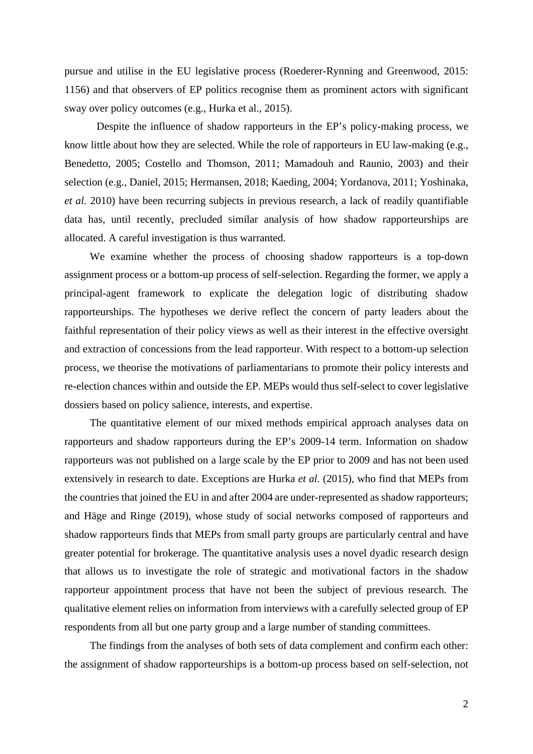pursue and utilise in the EU legislative process (Roederer-Rynning and Greenwood, 2015: 1156) and that observers of EP politics recognise them as prominent actors with significant sway over policy outcomes (e.g., Hurka et al., 2015).

Despite the influence of shadow rapporteurs in the EP's policy-making process, we know little about how they are selected. While the role of rapporteurs in EU law-making (e.g., Benedetto, 2005; Costello and Thomson, 2011; Mamadouh and Raunio, 2003) and their selection (e.g., Daniel, 2015; Hermansen, 2018; Kaeding, 2004; Yordanova, 2011; Yoshinaka, *et al.* 2010) have been recurring subjects in previous research, a lack of readily quantifiable data has, until recently, precluded similar analysis of how shadow rapporteurships are allocated. A careful investigation is thus warranted.

We examine whether the process of choosing shadow rapporteurs is a top-down assignment process or a bottom-up process of self-selection. Regarding the former, we apply a principal-agent framework to explicate the delegation logic of distributing shadow rapporteurships. The hypotheses we derive reflect the concern of party leaders about the faithful representation of their policy views as well as their interest in the effective oversight and extraction of concessions from the lead rapporteur. With respect to a bottom-up selection process, we theorise the motivations of parliamentarians to promote their policy interests and re-election chances within and outside the EP. MEPs would thus self-select to cover legislative dossiers based on policy salience, interests, and expertise.

The quantitative element of our mixed methods empirical approach analyses data on rapporteurs and shadow rapporteurs during the EP's 2009-14 term. Information on shadow rapporteurs was not published on a large scale by the EP prior to 2009 and has not been used extensively in research to date. Exceptions are Hurka *et al.* (2015), who find that MEPs from the countries that joined the EU in and after 2004 are under-represented as shadow rapporteurs; and Häge and Ringe (2019), whose study of social networks composed of rapporteurs and shadow rapporteurs finds that MEPs from small party groups are particularly central and have greater potential for brokerage. The quantitative analysis uses a novel dyadic research design that allows us to investigate the role of strategic and motivational factors in the shadow rapporteur appointment process that have not been the subject of previous research. The qualitative element relies on information from interviews with a carefully selected group of EP respondents from all but one party group and a large number of standing committees.

The findings from the analyses of both sets of data complement and confirm each other: the assignment of shadow rapporteurships is a bottom-up process based on self-selection, not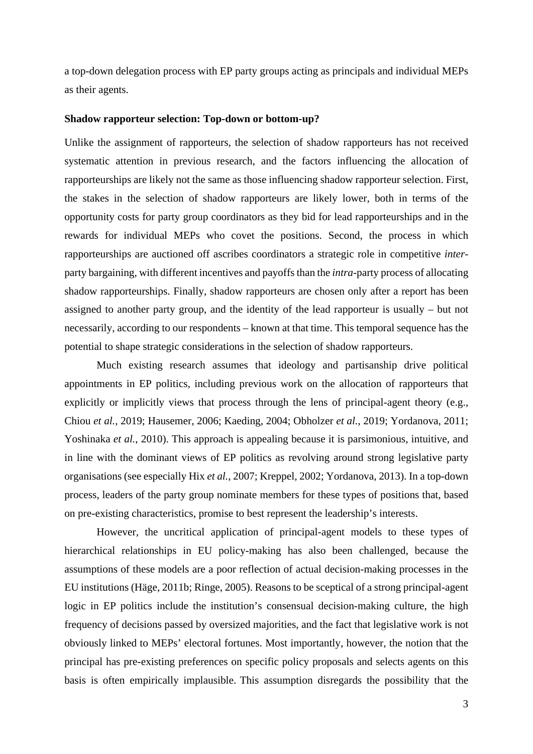a top-down delegation process with EP party groups acting as principals and individual MEPs as their agents.

#### **Shadow rapporteur selection: Top-down or bottom-up?**

Unlike the assignment of rapporteurs, the selection of shadow rapporteurs has not received systematic attention in previous research, and the factors influencing the allocation of rapporteurships are likely not the same as those influencing shadow rapporteur selection. First, the stakes in the selection of shadow rapporteurs are likely lower, both in terms of the opportunity costs for party group coordinators as they bid for lead rapporteurships and in the rewards for individual MEPs who covet the positions. Second, the process in which rapporteurships are auctioned off ascribes coordinators a strategic role in competitive *inter*party bargaining, with different incentives and payoffs than the *intra*-party process of allocating shadow rapporteurships. Finally, shadow rapporteurs are chosen only after a report has been assigned to another party group, and the identity of the lead rapporteur is usually – but not necessarily, according to our respondents – known at that time. This temporal sequence has the potential to shape strategic considerations in the selection of shadow rapporteurs.

Much existing research assumes that ideology and partisanship drive political appointments in EP politics, including previous work on the allocation of rapporteurs that explicitly or implicitly views that process through the lens of principal-agent theory (e.g., Chiou *et al.*, 2019; Hausemer, 2006; Kaeding, 2004; Obholzer *et al.*, 2019; Yordanova, 2011; Yoshinaka *et al.*, 2010). This approach is appealing because it is parsimonious, intuitive, and in line with the dominant views of EP politics as revolving around strong legislative party organisations (see especially Hix *et al.*, 2007; Kreppel, 2002; Yordanova, 2013). In a top-down process, leaders of the party group nominate members for these types of positions that, based on pre-existing characteristics, promise to best represent the leadership's interests.

However, the uncritical application of principal-agent models to these types of hierarchical relationships in EU policy-making has also been challenged, because the assumptions of these models are a poor reflection of actual decision-making processes in the EU institutions (Häge, 2011b; Ringe, 2005). Reasons to be sceptical of a strong principal-agent logic in EP politics include the institution's consensual decision-making culture, the high frequency of decisions passed by oversized majorities, and the fact that legislative work is not obviously linked to MEPs' electoral fortunes. Most importantly, however, the notion that the principal has pre-existing preferences on specific policy proposals and selects agents on this basis is often empirically implausible. This assumption disregards the possibility that the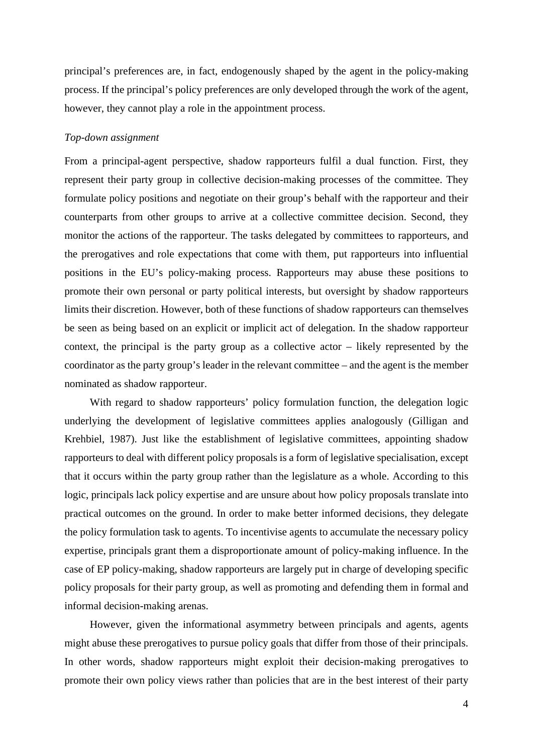principal's preferences are, in fact, endogenously shaped by the agent in the policy-making process. If the principal's policy preferences are only developed through the work of the agent, however, they cannot play a role in the appointment process.

### *Top-down assignment*

From a principal-agent perspective, shadow rapporteurs fulfil a dual function. First, they represent their party group in collective decision-making processes of the committee. They formulate policy positions and negotiate on their group's behalf with the rapporteur and their counterparts from other groups to arrive at a collective committee decision. Second, they monitor the actions of the rapporteur. The tasks delegated by committees to rapporteurs, and the prerogatives and role expectations that come with them, put rapporteurs into influential positions in the EU's policy-making process. Rapporteurs may abuse these positions to promote their own personal or party political interests, but oversight by shadow rapporteurs limits their discretion. However, both of these functions of shadow rapporteurs can themselves be seen as being based on an explicit or implicit act of delegation. In the shadow rapporteur context, the principal is the party group as a collective actor – likely represented by the coordinator as the party group's leader in the relevant committee – and the agent is the member nominated as shadow rapporteur.

With regard to shadow rapporteurs' policy formulation function, the delegation logic underlying the development of legislative committees applies analogously (Gilligan and Krehbiel, 1987). Just like the establishment of legislative committees, appointing shadow rapporteurs to deal with different policy proposals is a form of legislative specialisation, except that it occurs within the party group rather than the legislature as a whole. According to this logic, principals lack policy expertise and are unsure about how policy proposals translate into practical outcomes on the ground. In order to make better informed decisions, they delegate the policy formulation task to agents. To incentivise agents to accumulate the necessary policy expertise, principals grant them a disproportionate amount of policy-making influence. In the case of EP policy-making, shadow rapporteurs are largely put in charge of developing specific policy proposals for their party group, as well as promoting and defending them in formal and informal decision-making arenas.

However, given the informational asymmetry between principals and agents, agents might abuse these prerogatives to pursue policy goals that differ from those of their principals. In other words, shadow rapporteurs might exploit their decision-making prerogatives to promote their own policy views rather than policies that are in the best interest of their party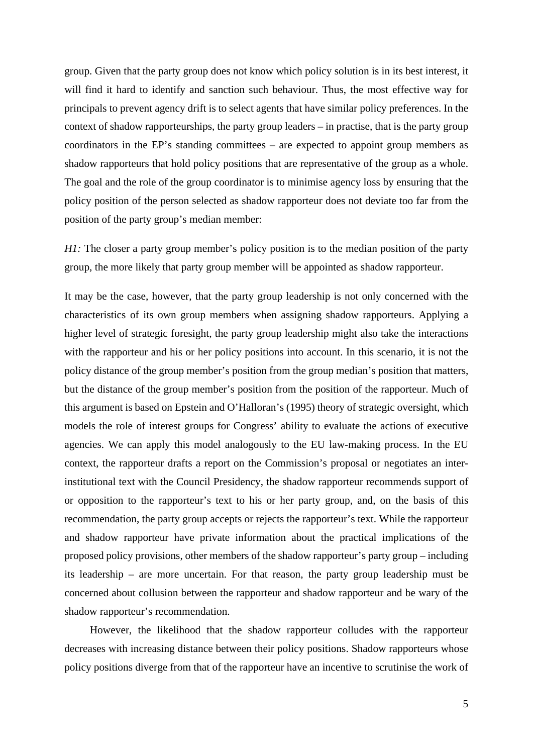group. Given that the party group does not know which policy solution is in its best interest, it will find it hard to identify and sanction such behaviour. Thus, the most effective way for principals to prevent agency drift is to select agents that have similar policy preferences. In the context of shadow rapporteurships, the party group leaders – in practise, that is the party group coordinators in the EP's standing committees – are expected to appoint group members as shadow rapporteurs that hold policy positions that are representative of the group as a whole. The goal and the role of the group coordinator is to minimise agency loss by ensuring that the policy position of the person selected as shadow rapporteur does not deviate too far from the position of the party group's median member:

*H1*: The closer a party group member's policy position is to the median position of the party group, the more likely that party group member will be appointed as shadow rapporteur.

It may be the case, however, that the party group leadership is not only concerned with the characteristics of its own group members when assigning shadow rapporteurs. Applying a higher level of strategic foresight, the party group leadership might also take the interactions with the rapporteur and his or her policy positions into account. In this scenario, it is not the policy distance of the group member's position from the group median's position that matters, but the distance of the group member's position from the position of the rapporteur. Much of this argument is based on Epstein and O'Halloran's (1995) theory of strategic oversight, which models the role of interest groups for Congress' ability to evaluate the actions of executive agencies. We can apply this model analogously to the EU law-making process. In the EU context, the rapporteur drafts a report on the Commission's proposal or negotiates an interinstitutional text with the Council Presidency, the shadow rapporteur recommends support of or opposition to the rapporteur's text to his or her party group, and, on the basis of this recommendation, the party group accepts or rejects the rapporteur's text. While the rapporteur and shadow rapporteur have private information about the practical implications of the proposed policy provisions, other members of the shadow rapporteur's party group – including its leadership – are more uncertain. For that reason, the party group leadership must be concerned about collusion between the rapporteur and shadow rapporteur and be wary of the shadow rapporteur's recommendation.

However, the likelihood that the shadow rapporteur colludes with the rapporteur decreases with increasing distance between their policy positions. Shadow rapporteurs whose policy positions diverge from that of the rapporteur have an incentive to scrutinise the work of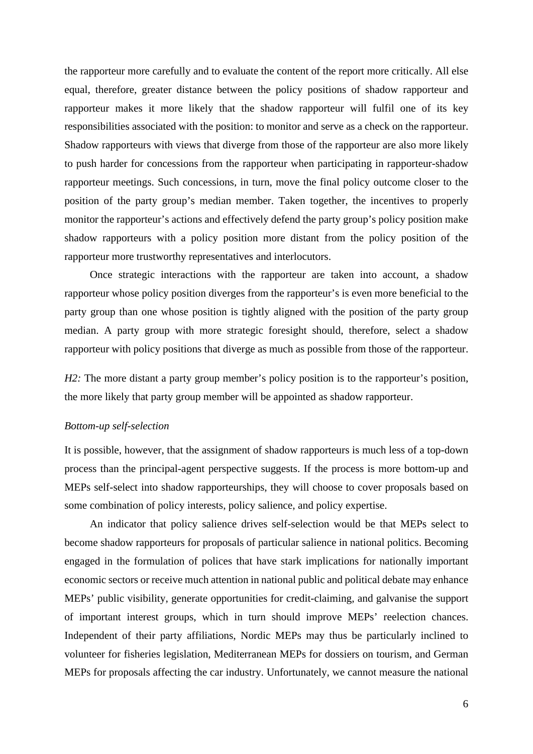the rapporteur more carefully and to evaluate the content of the report more critically. All else equal, therefore, greater distance between the policy positions of shadow rapporteur and rapporteur makes it more likely that the shadow rapporteur will fulfil one of its key responsibilities associated with the position: to monitor and serve as a check on the rapporteur. Shadow rapporteurs with views that diverge from those of the rapporteur are also more likely to push harder for concessions from the rapporteur when participating in rapporteur-shadow rapporteur meetings. Such concessions, in turn, move the final policy outcome closer to the position of the party group's median member. Taken together, the incentives to properly monitor the rapporteur's actions and effectively defend the party group's policy position make shadow rapporteurs with a policy position more distant from the policy position of the rapporteur more trustworthy representatives and interlocutors.

Once strategic interactions with the rapporteur are taken into account, a shadow rapporteur whose policy position diverges from the rapporteur's is even more beneficial to the party group than one whose position is tightly aligned with the position of the party group median. A party group with more strategic foresight should, therefore, select a shadow rapporteur with policy positions that diverge as much as possible from those of the rapporteur.

*H2*: The more distant a party group member's policy position is to the rapporteur's position, the more likely that party group member will be appointed as shadow rapporteur.

### *Bottom-up self-selection*

It is possible, however, that the assignment of shadow rapporteurs is much less of a top-down process than the principal-agent perspective suggests. If the process is more bottom-up and MEPs self-select into shadow rapporteurships, they will choose to cover proposals based on some combination of policy interests, policy salience, and policy expertise.

An indicator that policy salience drives self-selection would be that MEPs select to become shadow rapporteurs for proposals of particular salience in national politics. Becoming engaged in the formulation of polices that have stark implications for nationally important economic sectors or receive much attention in national public and political debate may enhance MEPs' public visibility, generate opportunities for credit-claiming, and galvanise the support of important interest groups, which in turn should improve MEPs' reelection chances. Independent of their party affiliations, Nordic MEPs may thus be particularly inclined to volunteer for fisheries legislation, Mediterranean MEPs for dossiers on tourism, and German MEPs for proposals affecting the car industry. Unfortunately, we cannot measure the national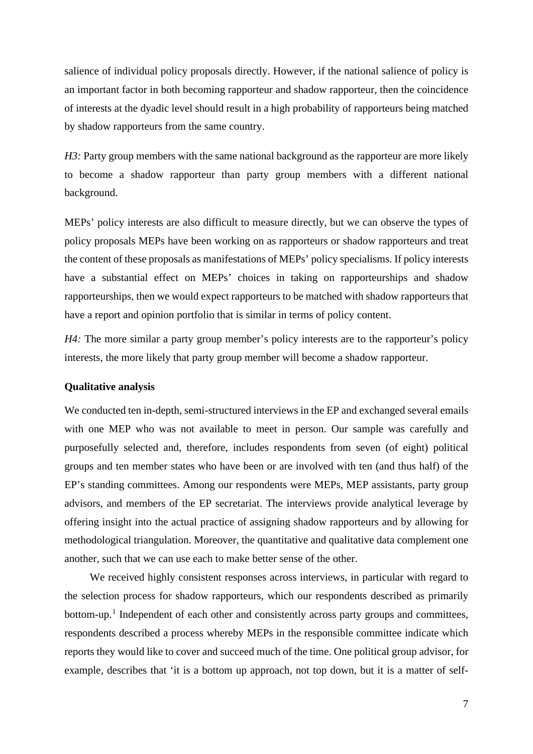salience of individual policy proposals directly. However, if the national salience of policy is an important factor in both becoming rapporteur and shadow rapporteur, then the coincidence of interests at the dyadic level should result in a high probability of rapporteurs being matched by shadow rapporteurs from the same country.

*H3*: Party group members with the same national background as the rapporteur are more likely to become a shadow rapporteur than party group members with a different national background.

MEPs' policy interests are also difficult to measure directly, but we can observe the types of policy proposals MEPs have been working on as rapporteurs or shadow rapporteurs and treat the content of these proposals as manifestations of MEPs' policy specialisms. If policy interests have a substantial effect on MEPs' choices in taking on rapporteurships and shadow rapporteurships, then we would expect rapporteurs to be matched with shadow rapporteurs that have a report and opinion portfolio that is similar in terms of policy content.

*H4*: The more similar a party group member's policy interests are to the rapporteur's policy interests, the more likely that party group member will become a shadow rapporteur.

#### **Qualitative analysis**

We conducted ten in-depth, semi-structured interviews in the EP and exchanged several emails with one MEP who was not available to meet in person. Our sample was carefully and purposefully selected and, therefore, includes respondents from seven (of eight) political groups and ten member states who have been or are involved with ten (and thus half) of the EP's standing committees. Among our respondents were MEPs, MEP assistants, party group advisors, and members of the EP secretariat. The interviews provide analytical leverage by offering insight into the actual practice of assigning shadow rapporteurs and by allowing for methodological triangulation. Moreover, the quantitative and qualitative data complement one another, such that we can use each to make better sense of the other.

We received highly consistent responses across interviews, in particular with regard to the selection process for shadow rapporteurs, which our respondents described as primarily bottom-up.<sup>[1](#page-21-0)</sup> Independent of each other and consistently across party groups and committees, respondents described a process whereby MEPs in the responsible committee indicate which reports they would like to cover and succeed much of the time. One political group advisor, for example, describes that 'it is a bottom up approach, not top down, but it is a matter of self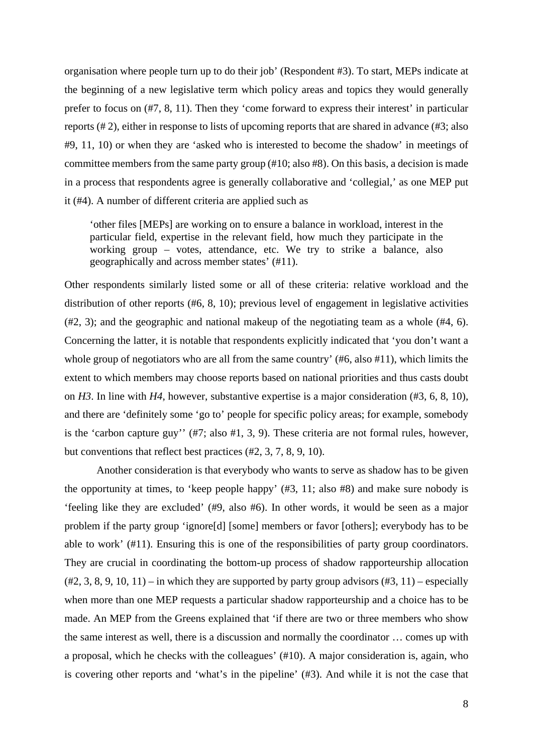organisation where people turn up to do their job' (Respondent #3). To start, MEPs indicate at the beginning of a new legislative term which policy areas and topics they would generally prefer to focus on (#7, 8, 11). Then they 'come forward to express their interest' in particular reports (# 2), either in response to lists of upcoming reports that are shared in advance (#3; also #9, 11, 10) or when they are 'asked who is interested to become the shadow' in meetings of committee members from the same party group (#10; also #8). On this basis, a decision is made in a process that respondents agree is generally collaborative and 'collegial,' as one MEP put it (#4). A number of different criteria are applied such as

'other files [MEPs] are working on to ensure a balance in workload, interest in the particular field, expertise in the relevant field, how much they participate in the working group – votes, attendance, etc. We try to strike a balance, also geographically and across member states' (#11).

Other respondents similarly listed some or all of these criteria: relative workload and the distribution of other reports (#6, 8, 10); previous level of engagement in legislative activities (#2, 3); and the geographic and national makeup of the negotiating team as a whole (#4, 6). Concerning the latter, it is notable that respondents explicitly indicated that 'you don't want a whole group of negotiators who are all from the same country'  $(\#6, \text{ also } \#11)$ , which limits the extent to which members may choose reports based on national priorities and thus casts doubt on *H3*. In line with *H4*, however, substantive expertise is a major consideration (#3, 6, 8, 10), and there are 'definitely some 'go to' people for specific policy areas; for example, somebody is the 'carbon capture guy'' (#7; also #1, 3, 9). These criteria are not formal rules, however, but conventions that reflect best practices (#2, 3, 7, 8, 9, 10).

Another consideration is that everybody who wants to serve as shadow has to be given the opportunity at times, to 'keep people happy' (#3, 11; also #8) and make sure nobody is 'feeling like they are excluded' (#9, also #6). In other words, it would be seen as a major problem if the party group 'ignore[d] [some] members or favor [others]; everybody has to be able to work' (#11). Ensuring this is one of the responsibilities of party group coordinators. They are crucial in coordinating the bottom-up process of shadow rapporteurship allocation  $(42, 3, 8, 9, 10, 11)$  – in which they are supported by party group advisors  $(43, 11)$  – especially when more than one MEP requests a particular shadow rapporteurship and a choice has to be made. An MEP from the Greens explained that 'if there are two or three members who show the same interest as well, there is a discussion and normally the coordinator … comes up with a proposal, which he checks with the colleagues' (#10). A major consideration is, again, who is covering other reports and 'what's in the pipeline' (#3). And while it is not the case that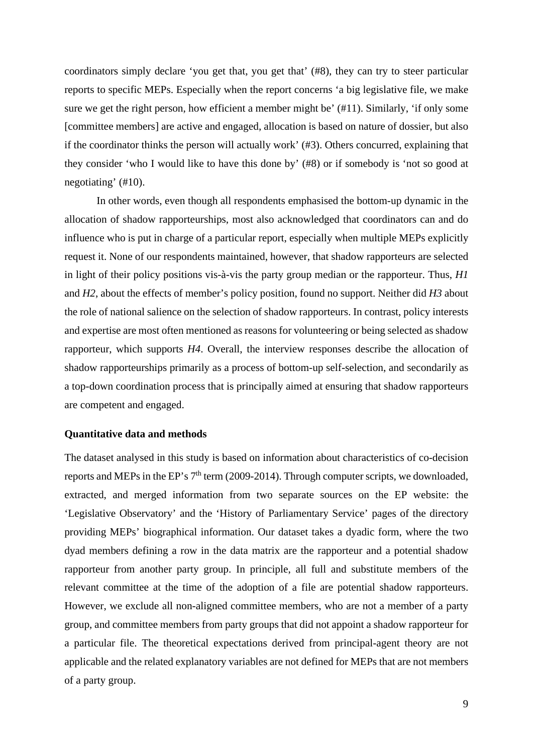coordinators simply declare 'you get that, you get that' (#8), they can try to steer particular reports to specific MEPs. Especially when the report concerns 'a big legislative file, we make sure we get the right person, how efficient a member might be' (#11). Similarly, 'if only some [committee members] are active and engaged, allocation is based on nature of dossier, but also if the coordinator thinks the person will actually work' (#3). Others concurred, explaining that they consider 'who I would like to have this done by' (#8) or if somebody is 'not so good at negotiating' (#10).

In other words, even though all respondents emphasised the bottom-up dynamic in the allocation of shadow rapporteurships, most also acknowledged that coordinators can and do influence who is put in charge of a particular report, especially when multiple MEPs explicitly request it. None of our respondents maintained, however, that shadow rapporteurs are selected in light of their policy positions vis-à-vis the party group median or the rapporteur. Thus, *H1* and *H2*, about the effects of member's policy position, found no support. Neither did *H3* about the role of national salience on the selection of shadow rapporteurs. In contrast, policy interests and expertise are most often mentioned as reasons for volunteering or being selected as shadow rapporteur, which supports *H4*. Overall, the interview responses describe the allocation of shadow rapporteurships primarily as a process of bottom-up self-selection, and secondarily as a top-down coordination process that is principally aimed at ensuring that shadow rapporteurs are competent and engaged.

#### **Quantitative data and methods**

The dataset analysed in this study is based on information about characteristics of co-decision reports and MEPs in the EP's  $7<sup>th</sup>$  term (2009-2014). Through computer scripts, we downloaded, extracted, and merged information from two separate sources on the EP website: the 'Legislative Observatory' and the 'History of Parliamentary Service' pages of the directory providing MEPs' biographical information. Our dataset takes a dyadic form, where the two dyad members defining a row in the data matrix are the rapporteur and a potential shadow rapporteur from another party group. In principle, all full and substitute members of the relevant committee at the time of the adoption of a file are potential shadow rapporteurs. However, we exclude all non-aligned committee members, who are not a member of a party group, and committee members from party groups that did not appoint a shadow rapporteur for a particular file. The theoretical expectations derived from principal-agent theory are not applicable and the related explanatory variables are not defined for MEPs that are not members of a party group.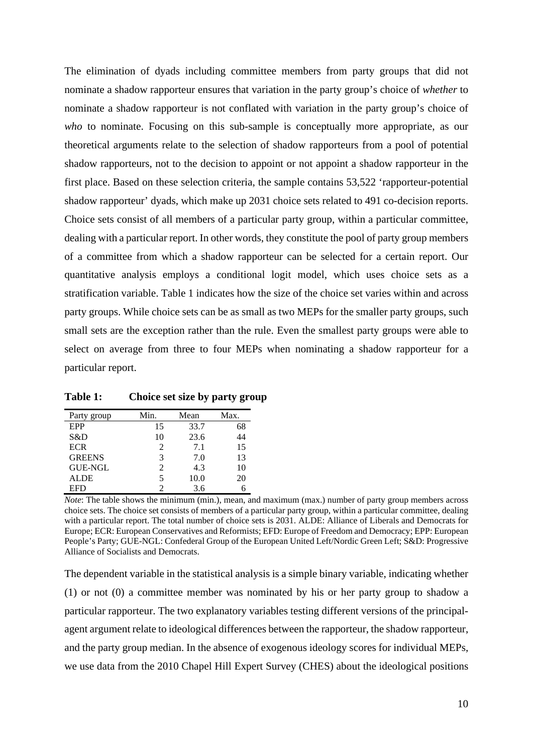The elimination of dyads including committee members from party groups that did not nominate a shadow rapporteur ensures that variation in the party group's choice of *whether* to nominate a shadow rapporteur is not conflated with variation in the party group's choice of *who* to nominate. Focusing on this sub-sample is conceptually more appropriate, as our theoretical arguments relate to the selection of shadow rapporteurs from a pool of potential shadow rapporteurs, not to the decision to appoint or not appoint a shadow rapporteur in the first place. Based on these selection criteria, the sample contains 53,522 'rapporteur-potential shadow rapporteur' dyads, which make up 2031 choice sets related to 491 co-decision reports. Choice sets consist of all members of a particular party group, within a particular committee, dealing with a particular report. In other words, they constitute the pool of party group members of a committee from which a shadow rapporteur can be selected for a certain report. Our quantitative analysis employs a conditional logit model, which uses choice sets as a stratification variable. Table 1 indicates how the size of the choice set varies within and across party groups. While choice sets can be as small as two MEPs for the smaller party groups, such small sets are the exception rather than the rule. Even the smallest party groups were able to select on average from three to four MEPs when nominating a shadow rapporteur for a particular report.

| Party group    | Min.                     | Mean | Max. |  |
|----------------|--------------------------|------|------|--|
| EPP            | 15                       | 33.7 | 68   |  |
| S&D            | 10                       | 23.6 | 44   |  |
| <b>ECR</b>     | 2                        | 7.1  | 15   |  |
| <b>GREENS</b>  | 3                        | 7.0  | 13   |  |
| <b>GUE-NGL</b> | $\mathfrak{D}$           | 4.3  | 10   |  |
| <b>ALDE</b>    | $\overline{\phantom{0}}$ | 10.0 | 20   |  |
| EFD            | 2                        | 3.6  |      |  |

**Table 1: Choice set size by party group**

*Note*: The table shows the minimum (min.), mean, and maximum (max.) number of party group members across choice sets. The choice set consists of members of a particular party group, within a particular committee, dealing with a particular report. The total number of choice sets is 2031. ALDE: Alliance of Liberals and Democrats for Europe; ECR: European Conservatives and Reformists; EFD: Europe of Freedom and Democracy; EPP: European People's Party; GUE-NGL: Confederal Group of the European United Left/Nordic Green Left; S&D: Progressive Alliance of Socialists and Democrats.

The dependent variable in the statistical analysis is a simple binary variable, indicating whether (1) or not (0) a committee member was nominated by his or her party group to shadow a particular rapporteur. The two explanatory variables testing different versions of the principalagent argument relate to ideological differences between the rapporteur, the shadow rapporteur, and the party group median. In the absence of exogenous ideology scores for individual MEPs, we use data from the 2010 Chapel Hill Expert Survey (CHES) about the ideological positions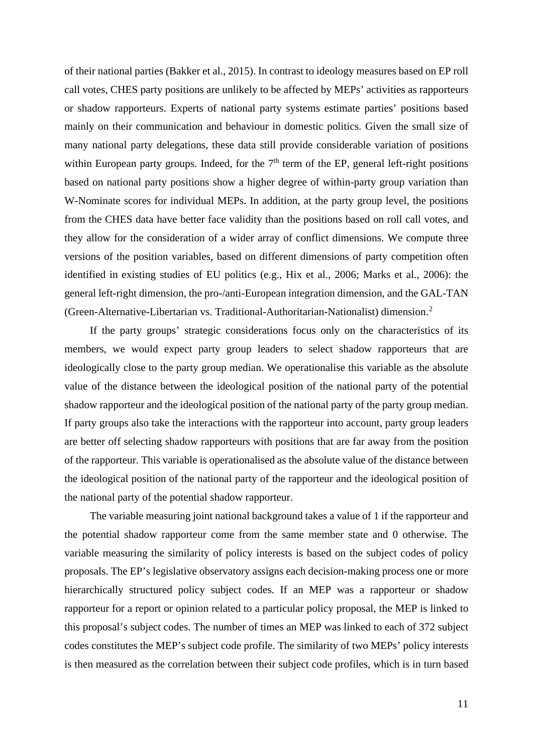of their national parties (Bakker et al., 2015). In contrast to ideology measures based on EP roll call votes, CHES party positions are unlikely to be affected by MEPs' activities as rapporteurs or shadow rapporteurs. Experts of national party systems estimate parties' positions based mainly on their communication and behaviour in domestic politics. Given the small size of many national party delegations, these data still provide considerable variation of positions within European party groups. Indeed, for the  $7<sup>th</sup>$  term of the EP, general left-right positions based on national party positions show a higher degree of within-party group variation than W-Nominate scores for individual MEPs. In addition, at the party group level, the positions from the CHES data have better face validity than the positions based on roll call votes, and they allow for the consideration of a wider array of conflict dimensions. We compute three versions of the position variables, based on different dimensions of party competition often identified in existing studies of EU politics (e.g., Hix et al., 2006; Marks et al., 2006): the general left-right dimension, the pro-/anti-European integration dimension, and the GAL-TAN (Green-Alternative-Libertarian vs. Traditional-Authoritarian-Nationalist) dimension.[2](#page-22-0)

If the party groups' strategic considerations focus only on the characteristics of its members, we would expect party group leaders to select shadow rapporteurs that are ideologically close to the party group median. We operationalise this variable as the absolute value of the distance between the ideological position of the national party of the potential shadow rapporteur and the ideological position of the national party of the party group median. If party groups also take the interactions with the rapporteur into account, party group leaders are better off selecting shadow rapporteurs with positions that are far away from the position of the rapporteur. This variable is operationalised as the absolute value of the distance between the ideological position of the national party of the rapporteur and the ideological position of the national party of the potential shadow rapporteur.

The variable measuring joint national background takes a value of 1 if the rapporteur and the potential shadow rapporteur come from the same member state and 0 otherwise. The variable measuring the similarity of policy interests is based on the subject codes of policy proposals. The EP's legislative observatory assigns each decision-making process one or more hierarchically structured policy subject codes. If an MEP was a rapporteur or shadow rapporteur for a report or opinion related to a particular policy proposal, the MEP is linked to this proposal's subject codes. The number of times an MEP was linked to each of 372 subject codes constitutes the MEP's subject code profile. The similarity of two MEPs' policy interests is then measured as the correlation between their subject code profiles, which is in turn based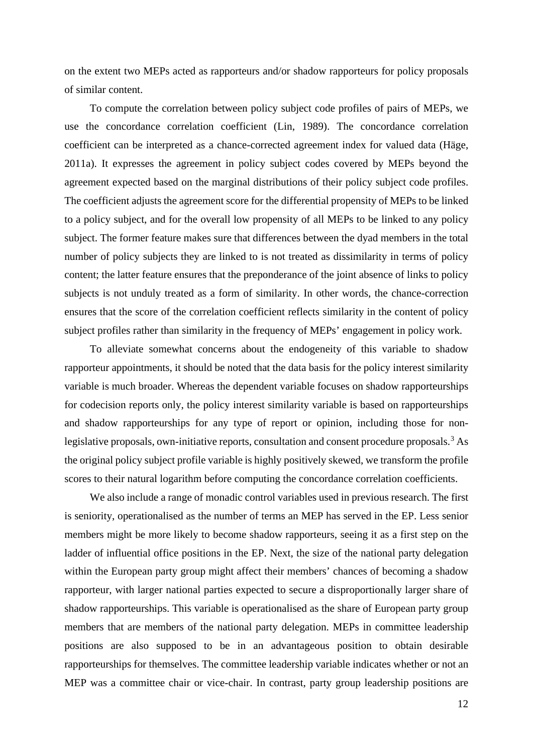on the extent two MEPs acted as rapporteurs and/or shadow rapporteurs for policy proposals of similar content.

To compute the correlation between policy subject code profiles of pairs of MEPs, we use the concordance correlation coefficient (Lin, 1989). The concordance correlation coefficient can be interpreted as a chance-corrected agreement index for valued data (Häge, 2011a). It expresses the agreement in policy subject codes covered by MEPs beyond the agreement expected based on the marginal distributions of their policy subject code profiles. The coefficient adjusts the agreement score for the differential propensity of MEPs to be linked to a policy subject, and for the overall low propensity of all MEPs to be linked to any policy subject. The former feature makes sure that differences between the dyad members in the total number of policy subjects they are linked to is not treated as dissimilarity in terms of policy content; the latter feature ensures that the preponderance of the joint absence of links to policy subjects is not unduly treated as a form of similarity. In other words, the chance-correction ensures that the score of the correlation coefficient reflects similarity in the content of policy subject profiles rather than similarity in the frequency of MEPs' engagement in policy work.

To alleviate somewhat concerns about the endogeneity of this variable to shadow rapporteur appointments, it should be noted that the data basis for the policy interest similarity variable is much broader. Whereas the dependent variable focuses on shadow rapporteurships for codecision reports only, the policy interest similarity variable is based on rapporteurships and shadow rapporteurships for any type of report or opinion, including those for non-legislative proposals, own-initiative reports, consultation and consent procedure proposals.<sup>[3](#page-22-1)</sup> As the original policy subject profile variable is highly positively skewed, we transform the profile scores to their natural logarithm before computing the concordance correlation coefficients.

We also include a range of monadic control variables used in previous research. The first is seniority, operationalised as the number of terms an MEP has served in the EP. Less senior members might be more likely to become shadow rapporteurs, seeing it as a first step on the ladder of influential office positions in the EP. Next, the size of the national party delegation within the European party group might affect their members' chances of becoming a shadow rapporteur, with larger national parties expected to secure a disproportionally larger share of shadow rapporteurships. This variable is operationalised as the share of European party group members that are members of the national party delegation. MEPs in committee leadership positions are also supposed to be in an advantageous position to obtain desirable rapporteurships for themselves. The committee leadership variable indicates whether or not an MEP was a committee chair or vice-chair. In contrast, party group leadership positions are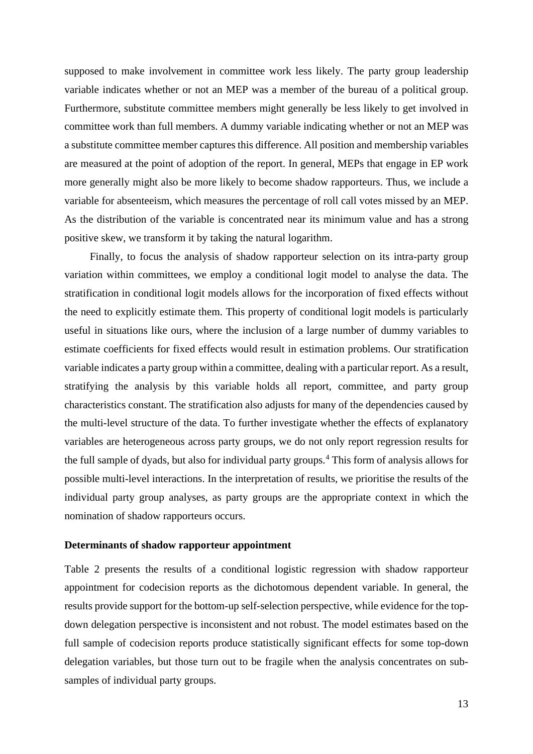supposed to make involvement in committee work less likely. The party group leadership variable indicates whether or not an MEP was a member of the bureau of a political group. Furthermore, substitute committee members might generally be less likely to get involved in committee work than full members. A dummy variable indicating whether or not an MEP was a substitute committee member captures this difference. All position and membership variables are measured at the point of adoption of the report. In general, MEPs that engage in EP work more generally might also be more likely to become shadow rapporteurs. Thus, we include a variable for absenteeism, which measures the percentage of roll call votes missed by an MEP. As the distribution of the variable is concentrated near its minimum value and has a strong positive skew, we transform it by taking the natural logarithm.

Finally, to focus the analysis of shadow rapporteur selection on its intra-party group variation within committees, we employ a conditional logit model to analyse the data. The stratification in conditional logit models allows for the incorporation of fixed effects without the need to explicitly estimate them. This property of conditional logit models is particularly useful in situations like ours, where the inclusion of a large number of dummy variables to estimate coefficients for fixed effects would result in estimation problems. Our stratification variable indicates a party group within a committee, dealing with a particular report. As a result, stratifying the analysis by this variable holds all report, committee, and party group characteristics constant. The stratification also adjusts for many of the dependencies caused by the multi-level structure of the data. To further investigate whether the effects of explanatory variables are heterogeneous across party groups, we do not only report regression results for the full sample of dyads, but also for individual party groups.<sup>[4](#page-22-2)</sup> This form of analysis allows for possible multi-level interactions. In the interpretation of results, we prioritise the results of the individual party group analyses, as party groups are the appropriate context in which the nomination of shadow rapporteurs occurs.

#### **Determinants of shadow rapporteur appointment**

Table 2 presents the results of a conditional logistic regression with shadow rapporteur appointment for codecision reports as the dichotomous dependent variable. In general, the results provide support for the bottom-up self-selection perspective, while evidence for the topdown delegation perspective is inconsistent and not robust. The model estimates based on the full sample of codecision reports produce statistically significant effects for some top-down delegation variables, but those turn out to be fragile when the analysis concentrates on subsamples of individual party groups.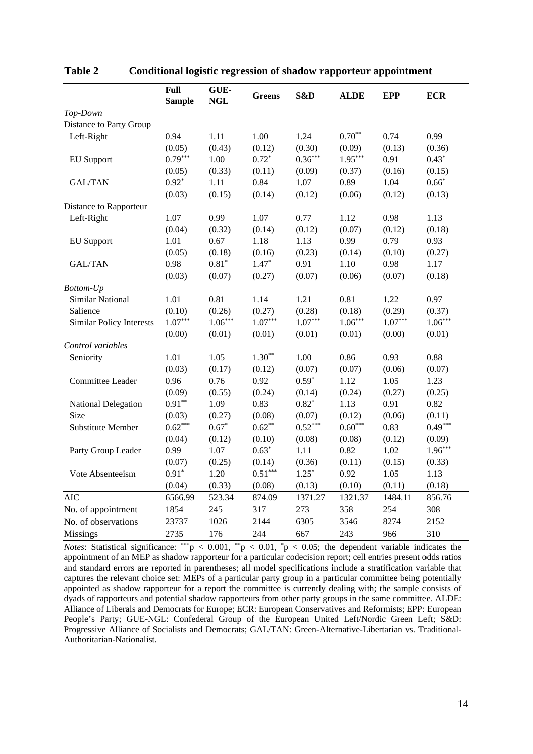|                                 | Full<br><b>Sample</b> | GUE-<br><b>NGL</b> | <b>Greens</b>         | S&D       | <b>ALDE</b> | <b>EPP</b> | <b>ECR</b> |
|---------------------------------|-----------------------|--------------------|-----------------------|-----------|-------------|------------|------------|
| Top-Down                        |                       |                    |                       |           |             |            |            |
| Distance to Party Group         |                       |                    |                       |           |             |            |            |
| Left-Right                      | 0.94                  | 1.11               | 1.00                  | 1.24      | $0.70**$    | 0.74       | 0.99       |
|                                 | (0.05)                | (0.43)             | (0.12)                | (0.30)    | (0.09)      | (0.13)     | (0.36)     |
| <b>EU</b> Support               | $0.79***$             | 1.00               | $0.72*$               | $0.36***$ | $1.95***$   | 0.91       | $0.43*$    |
|                                 | (0.05)                | (0.33)             | (0.11)                | (0.09)    | (0.37)      | (0.16)     | (0.15)     |
| <b>GAL/TAN</b>                  | $0.92*$               | 1.11               | 0.84                  | 1.07      | 0.89        | 1.04       | $0.66*$    |
|                                 | (0.03)                | (0.15)             | (0.14)                | (0.12)    | (0.06)      | (0.12)     | (0.13)     |
| Distance to Rapporteur          |                       |                    |                       |           |             |            |            |
| Left-Right                      | 1.07                  | 0.99               | 1.07                  | 0.77      | 1.12        | 0.98       | 1.13       |
|                                 | (0.04)                | (0.32)             | (0.14)                | (0.12)    | (0.07)      | (0.12)     | (0.18)     |
| <b>EU</b> Support               | 1.01                  | 0.67               | 1.18                  | 1.13      | 0.99        | 0.79       | 0.93       |
|                                 | (0.05)                | (0.18)             | (0.16)                | (0.23)    | (0.14)      | (0.10)     | (0.27)     |
| <b>GAL/TAN</b>                  | 0.98                  | $0.81*$            | $1.47*$               | 0.91      | 1.10        | 0.98       | 1.17       |
|                                 | (0.03)                | (0.07)             | (0.27)                | (0.07)    | (0.06)      | (0.07)     | (0.18)     |
| <b>Bottom-Up</b>                |                       |                    |                       |           |             |            |            |
| Similar National                | 1.01                  | 0.81               | 1.14                  | 1.21      | 0.81        | 1.22       | 0.97       |
| Salience                        | (0.10)                | (0.26)             | (0.27)                | (0.28)    | (0.18)      | (0.29)     | (0.37)     |
| <b>Similar Policy Interests</b> | $1.07***$             | $1.06***$          | $1.07***$             | $1.07***$ | $1.06***$   | $1.07***$  | $1.06***$  |
|                                 | (0.00)                | (0.01)             | (0.01)                | (0.01)    | (0.01)      | (0.00)     | (0.01)     |
| Control variables               |                       |                    |                       |           |             |            |            |
| Seniority                       | 1.01                  | 1.05               | $1.30**$              | 1.00      | 0.86        | 0.93       | 0.88       |
|                                 | (0.03)                | (0.17)             | (0.12)                | (0.07)    | (0.07)      | (0.06)     | (0.07)     |
| Committee Leader                | 0.96                  | 0.76               | 0.92                  | $0.59*$   | 1.12        | 1.05       | 1.23       |
|                                 | (0.09)                | (0.55)             | (0.24)                | (0.14)    | (0.24)      | (0.27)     | (0.25)     |
| National Delegation             | $0.91**$              | 1.09               | 0.83                  | $0.82*$   | 1.13        | 0.91       | 0.82       |
| Size                            | (0.03)                | (0.27)             | (0.08)                | (0.07)    | (0.12)      | (0.06)     | (0.11)     |
| <b>Substitute Member</b>        | $0.62***$             | $0.67*$            | $0.62***$             | $0.52***$ | $0.60***$   | 0.83       | $0.49***$  |
|                                 | (0.04)                | (0.12)             | (0.10)                | (0.08)    | (0.08)      | (0.12)     | (0.09)     |
| Party Group Leader              | 0.99                  | 1.07               | $0.63*$               | 1.11      | 0.82        | 1.02       | $1.96***$  |
|                                 | (0.07)                | (0.25)             | (0.14)                | (0.36)    | (0.11)      | (0.15)     | (0.33)     |
| Vote Absenteeism                | $0.91*$               | 1.20               | $0.51^{\ast\ast\ast}$ | $1.25*$   | 0.92        | 1.05       | 1.13       |
|                                 | (0.04)                | (0.33)             | (0.08)                | (0.13)    | (0.10)      | (0.11)     | (0.18)     |
| <b>AIC</b>                      | 6566.99               | 523.34             | 874.09                | 1371.27   | 1321.37     | 1484.11    | 856.76     |
| No. of appointment              | 1854                  | 245                | 317                   | 273       | 358         | 254        | 308        |
| No. of observations             | 23737                 | 1026               | 2144                  | 6305      | 3546        | 8274       | 2152       |
| <b>Missings</b>                 | 2735                  | 176                | 244                   | 667       | 243         | 966        | 310        |

**Table 2 Conditional logistic regression of shadow rapporteur appointment**

*Notes*: Statistical significance: \*\*\*p < 0.001, \*\*p < 0.01, \*p < 0.05; the dependent variable indicates the appointment of an MEP as shadow rapporteur for a particular codecision report; cell entries present odds ratios and standard errors are reported in parentheses; all model specifications include a stratification variable that captures the relevant choice set: MEPs of a particular party group in a particular committee being potentially appointed as shadow rapporteur for a report the committee is currently dealing with; the sample consists of dyads of rapporteurs and potential shadow rapporteurs from other party groups in the same committee. ALDE: Alliance of Liberals and Democrats for Europe; ECR: European Conservatives and Reformists; EPP: European People's Party; GUE-NGL: Confederal Group of the European United Left/Nordic Green Left; S&D: Progressive Alliance of Socialists and Democrats; GAL/TAN: Green-Alternative-Libertarian vs. Traditional-Authoritarian-Nationalist.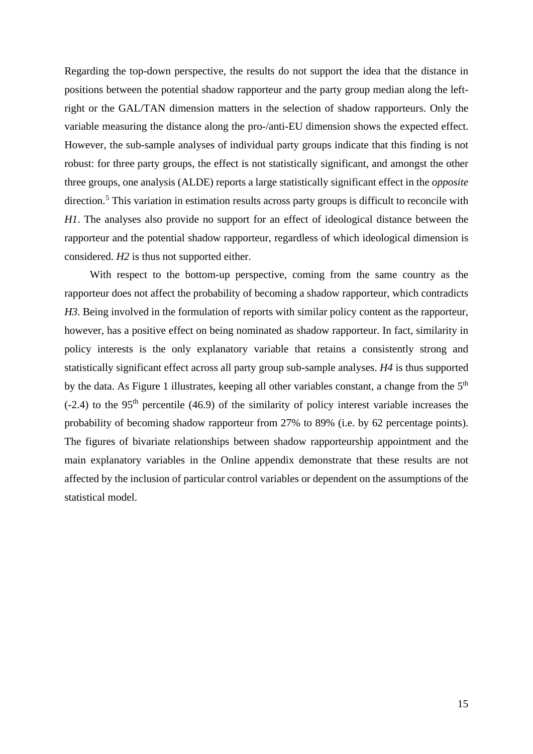Regarding the top-down perspective, the results do not support the idea that the distance in positions between the potential shadow rapporteur and the party group median along the leftright or the GAL/TAN dimension matters in the selection of shadow rapporteurs. Only the variable measuring the distance along the pro-/anti-EU dimension shows the expected effect. However, the sub-sample analyses of individual party groups indicate that this finding is not robust: for three party groups, the effect is not statistically significant, and amongst the other three groups, one analysis (ALDE) reports a large statistically significant effect in the *opposite* direction.[5](#page-23-0) This variation in estimation results across party groups is difficult to reconcile with *H1*. The analyses also provide no support for an effect of ideological distance between the rapporteur and the potential shadow rapporteur, regardless of which ideological dimension is considered. *H2* is thus not supported either.

With respect to the bottom-up perspective, coming from the same country as the rapporteur does not affect the probability of becoming a shadow rapporteur, which contradicts *H3*. Being involved in the formulation of reports with similar policy content as the rapporteur, however, has a positive effect on being nominated as shadow rapporteur. In fact, similarity in policy interests is the only explanatory variable that retains a consistently strong and statistically significant effect across all party group sub-sample analyses. *H4* is thus supported by the data. As Figure 1 illustrates, keeping all other variables constant, a change from the 5<sup>th</sup>  $(-2.4)$  to the 95<sup>th</sup> percentile (46.9) of the similarity of policy interest variable increases the probability of becoming shadow rapporteur from 27% to 89% (i.e. by 62 percentage points). The figures of bivariate relationships between shadow rapporteurship appointment and the main explanatory variables in the Online appendix demonstrate that these results are not affected by the inclusion of particular control variables or dependent on the assumptions of the statistical model.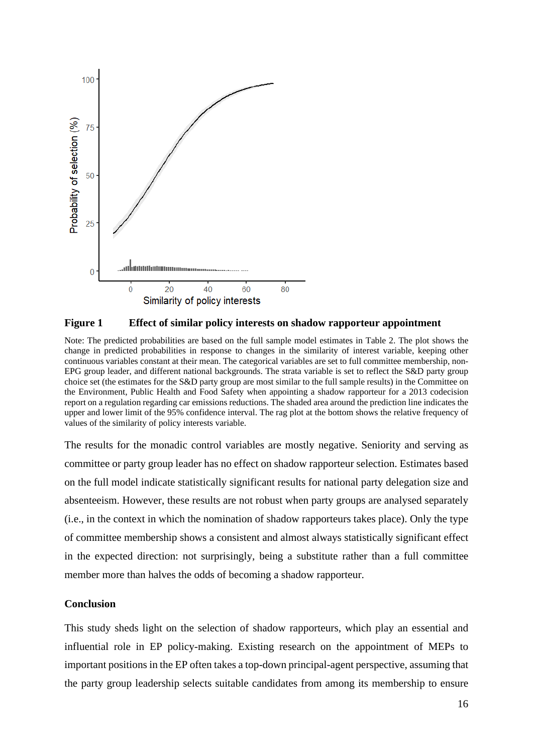



Note: The predicted probabilities are based on the full sample model estimates in Table 2. The plot shows the change in predicted probabilities in response to changes in the similarity of interest variable, keeping other continuous variables constant at their mean. The categorical variables are set to full committee membership, non-EPG group leader, and different national backgrounds. The strata variable is set to reflect the S&D party group choice set (the estimates for the S&D party group are most similar to the full sample results) in the Committee on the Environment, Public Health and Food Safety when appointing a shadow rapporteur for a 2013 codecision report on a regulation regarding car emissions reductions. The shaded area around the prediction line indicates the upper and lower limit of the 95% confidence interval. The rag plot at the bottom shows the relative frequency of values of the similarity of policy interests variable.

The results for the monadic control variables are mostly negative. Seniority and serving as committee or party group leader has no effect on shadow rapporteur selection. Estimates based on the full model indicate statistically significant results for national party delegation size and absenteeism. However, these results are not robust when party groups are analysed separately (i.e., in the context in which the nomination of shadow rapporteurs takes place). Only the type of committee membership shows a consistent and almost always statistically significant effect in the expected direction: not surprisingly, being a substitute rather than a full committee member more than halves the odds of becoming a shadow rapporteur.

## **Conclusion**

This study sheds light on the selection of shadow rapporteurs, which play an essential and influential role in EP policy-making. Existing research on the appointment of MEPs to important positions in the EP often takes a top-down principal-agent perspective, assuming that the party group leadership selects suitable candidates from among its membership to ensure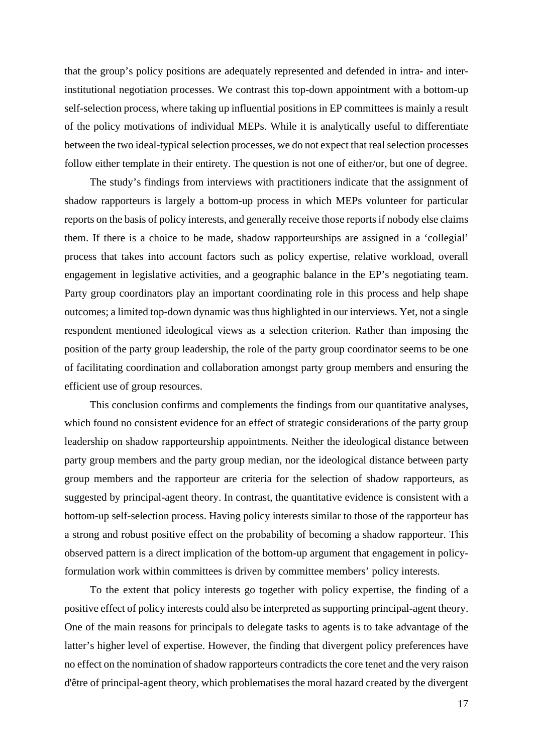that the group's policy positions are adequately represented and defended in intra- and interinstitutional negotiation processes. We contrast this top-down appointment with a bottom-up self-selection process, where taking up influential positions in EP committees is mainly a result of the policy motivations of individual MEPs. While it is analytically useful to differentiate between the two ideal-typical selection processes, we do not expect that real selection processes follow either template in their entirety. The question is not one of either/or, but one of degree.

The study's findings from interviews with practitioners indicate that the assignment of shadow rapporteurs is largely a bottom-up process in which MEPs volunteer for particular reports on the basis of policy interests, and generally receive those reports if nobody else claims them. If there is a choice to be made, shadow rapporteurships are assigned in a 'collegial' process that takes into account factors such as policy expertise, relative workload, overall engagement in legislative activities, and a geographic balance in the EP's negotiating team. Party group coordinators play an important coordinating role in this process and help shape outcomes; a limited top-down dynamic was thus highlighted in our interviews. Yet, not a single respondent mentioned ideological views as a selection criterion. Rather than imposing the position of the party group leadership, the role of the party group coordinator seems to be one of facilitating coordination and collaboration amongst party group members and ensuring the efficient use of group resources.

This conclusion confirms and complements the findings from our quantitative analyses, which found no consistent evidence for an effect of strategic considerations of the party group leadership on shadow rapporteurship appointments. Neither the ideological distance between party group members and the party group median, nor the ideological distance between party group members and the rapporteur are criteria for the selection of shadow rapporteurs, as suggested by principal-agent theory. In contrast, the quantitative evidence is consistent with a bottom-up self-selection process. Having policy interests similar to those of the rapporteur has a strong and robust positive effect on the probability of becoming a shadow rapporteur. This observed pattern is a direct implication of the bottom-up argument that engagement in policyformulation work within committees is driven by committee members' policy interests.

To the extent that policy interests go together with policy expertise, the finding of a positive effect of policy interests could also be interpreted as supporting principal-agent theory. One of the main reasons for principals to delegate tasks to agents is to take advantage of the latter's higher level of expertise. However, the finding that divergent policy preferences have no effect on the nomination of shadow rapporteurs contradicts the core tenet and the very raison d'être of principal-agent theory, which problematises the moral hazard created by the divergent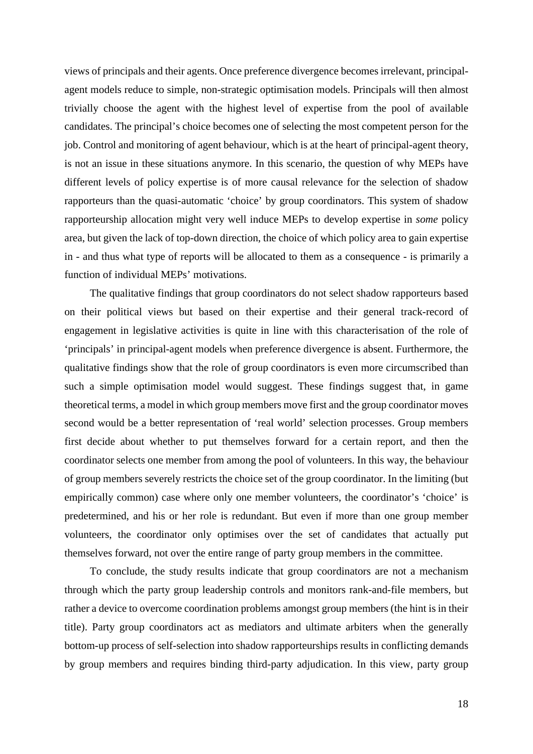views of principals and their agents. Once preference divergence becomes irrelevant, principalagent models reduce to simple, non-strategic optimisation models. Principals will then almost trivially choose the agent with the highest level of expertise from the pool of available candidates. The principal's choice becomes one of selecting the most competent person for the job. Control and monitoring of agent behaviour, which is at the heart of principal-agent theory, is not an issue in these situations anymore. In this scenario, the question of why MEPs have different levels of policy expertise is of more causal relevance for the selection of shadow rapporteurs than the quasi-automatic 'choice' by group coordinators. This system of shadow rapporteurship allocation might very well induce MEPs to develop expertise in *some* policy area, but given the lack of top-down direction, the choice of which policy area to gain expertise in - and thus what type of reports will be allocated to them as a consequence - is primarily a function of individual MEPs' motivations.

The qualitative findings that group coordinators do not select shadow rapporteurs based on their political views but based on their expertise and their general track-record of engagement in legislative activities is quite in line with this characterisation of the role of 'principals' in principal-agent models when preference divergence is absent. Furthermore, the qualitative findings show that the role of group coordinators is even more circumscribed than such a simple optimisation model would suggest. These findings suggest that, in game theoretical terms, a model in which group members move first and the group coordinator moves second would be a better representation of 'real world' selection processes. Group members first decide about whether to put themselves forward for a certain report, and then the coordinator selects one member from among the pool of volunteers. In this way, the behaviour of group members severely restricts the choice set of the group coordinator. In the limiting (but empirically common) case where only one member volunteers, the coordinator's 'choice' is predetermined, and his or her role is redundant. But even if more than one group member volunteers, the coordinator only optimises over the set of candidates that actually put themselves forward, not over the entire range of party group members in the committee.

To conclude, the study results indicate that group coordinators are not a mechanism through which the party group leadership controls and monitors rank-and-file members, but rather a device to overcome coordination problems amongst group members (the hint is in their title). Party group coordinators act as mediators and ultimate arbiters when the generally bottom-up process of self-selection into shadow rapporteurships results in conflicting demands by group members and requires binding third-party adjudication. In this view, party group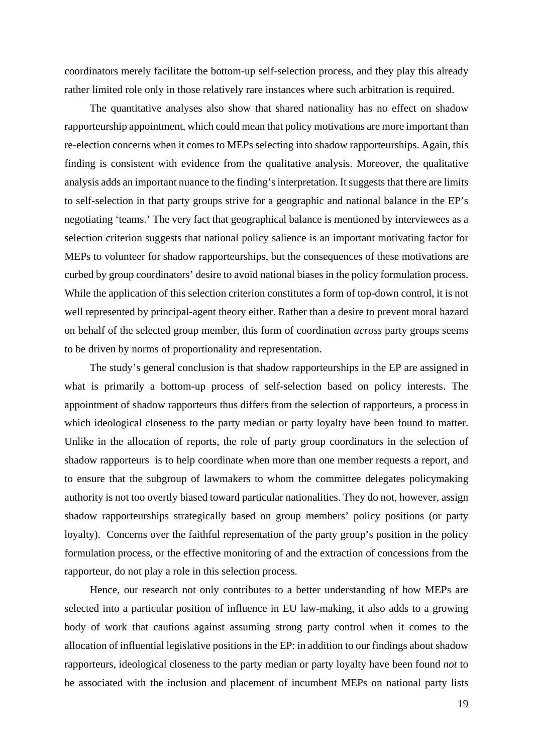coordinators merely facilitate the bottom-up self-selection process, and they play this already rather limited role only in those relatively rare instances where such arbitration is required.

The quantitative analyses also show that shared nationality has no effect on shadow rapporteurship appointment, which could mean that policy motivations are more important than re-election concerns when it comes to MEPs selecting into shadow rapporteurships. Again, this finding is consistent with evidence from the qualitative analysis. Moreover, the qualitative analysis adds an important nuance to the finding's interpretation. It suggests that there are limits to self-selection in that party groups strive for a geographic and national balance in the EP's negotiating 'teams.' The very fact that geographical balance is mentioned by interviewees as a selection criterion suggests that national policy salience is an important motivating factor for MEPs to volunteer for shadow rapporteurships, but the consequences of these motivations are curbed by group coordinators' desire to avoid national biases in the policy formulation process. While the application of this selection criterion constitutes a form of top-down control, it is not well represented by principal-agent theory either. Rather than a desire to prevent moral hazard on behalf of the selected group member, this form of coordination *across* party groups seems to be driven by norms of proportionality and representation.

The study's general conclusion is that shadow rapporteurships in the EP are assigned in what is primarily a bottom-up process of self-selection based on policy interests. The appointment of shadow rapporteurs thus differs from the selection of rapporteurs, a process in which ideological closeness to the party median or party loyalty have been found to matter. Unlike in the allocation of reports, the role of party group coordinators in the selection of shadow rapporteurs is to help coordinate when more than one member requests a report, and to ensure that the subgroup of lawmakers to whom the committee delegates policymaking authority is not too overtly biased toward particular nationalities. They do not, however, assign shadow rapporteurships strategically based on group members' policy positions (or party loyalty). Concerns over the faithful representation of the party group's position in the policy formulation process, or the effective monitoring of and the extraction of concessions from the rapporteur, do not play a role in this selection process.

Hence, our research not only contributes to a better understanding of how MEPs are selected into a particular position of influence in EU law-making, it also adds to a growing body of work that cautions against assuming strong party control when it comes to the allocation of influential legislative positions in the EP: in addition to our findings about shadow rapporteurs, ideological closeness to the party median or party loyalty have been found *not* to be associated with the inclusion and placement of incumbent MEPs on national party lists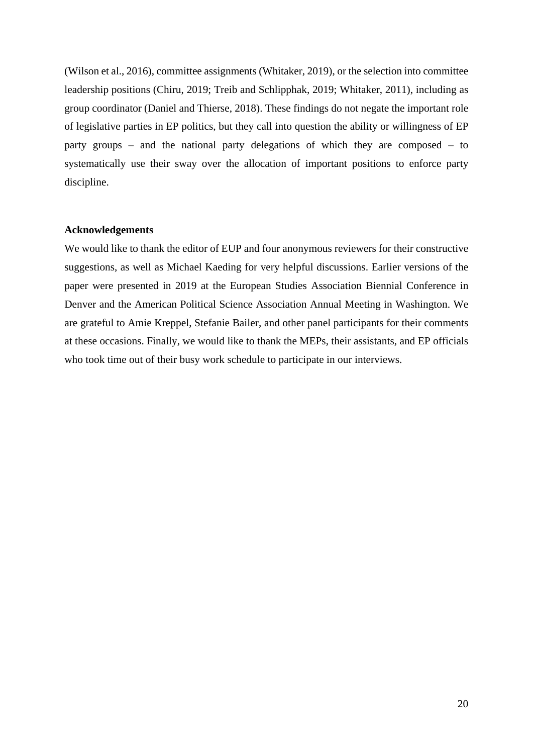(Wilson et al., 2016), committee assignments (Whitaker, 2019), or the selection into committee leadership positions (Chiru, 2019; Treib and Schlipphak, 2019; Whitaker, 2011), including as group coordinator (Daniel and Thierse, 2018). These findings do not negate the important role of legislative parties in EP politics, but they call into question the ability or willingness of EP party groups – and the national party delegations of which they are composed – to systematically use their sway over the allocation of important positions to enforce party discipline.

## **Acknowledgements**

We would like to thank the editor of EUP and four anonymous reviewers for their constructive suggestions, as well as Michael Kaeding for very helpful discussions. Earlier versions of the paper were presented in 2019 at the European Studies Association Biennial Conference in Denver and the American Political Science Association Annual Meeting in Washington. We are grateful to Amie Kreppel, Stefanie Bailer, and other panel participants for their comments at these occasions. Finally, we would like to thank the MEPs, their assistants, and EP officials who took time out of their busy work schedule to participate in our interviews.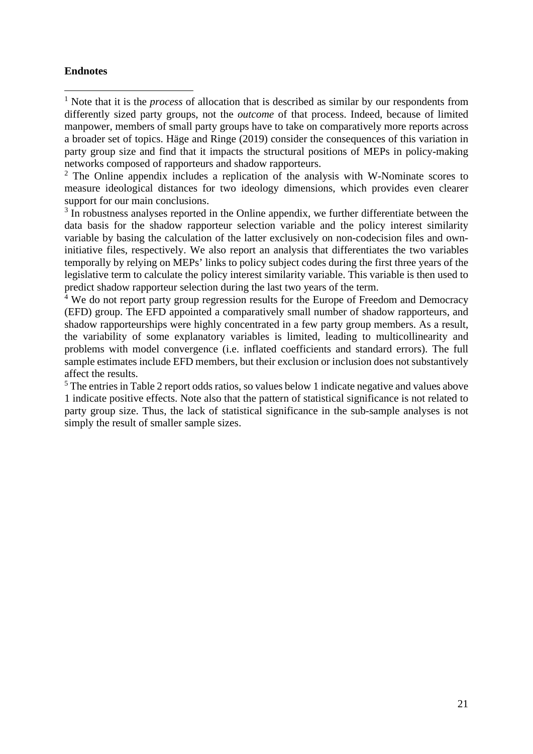## **Endnotes**

<span id="page-21-0"></span><sup>1</sup> Note that it is the *process* of allocation that is described as similar by our respondents from differently sized party groups, not the *outcome* of that process. Indeed, because of limited manpower, members of small party groups have to take on comparatively more reports across a broader set of topics. Häge and Ringe (2019) consider the consequences of this variation in party group size and find that it impacts the structural positions of MEPs in policy-making networks composed of rapporteurs and shadow rapporteurs.

<sup>2</sup> The Online appendix includes a replication of the analysis with W-Nominate scores to measure ideological distances for two ideology dimensions, which provides even clearer support for our main conclusions.

<sup>3</sup> In robustness analyses reported in the Online appendix, we further differentiate between the data basis for the shadow rapporteur selection variable and the policy interest similarity variable by basing the calculation of the latter exclusively on non-codecision files and owninitiative files, respectively. We also report an analysis that differentiates the two variables temporally by relying on MEPs' links to policy subject codes during the first three years of the legislative term to calculate the policy interest similarity variable. This variable is then used to predict shadow rapporteur selection during the last two years of the term.

<sup>4</sup> We do not report party group regression results for the Europe of Freedom and Democracy (EFD) group. The EFD appointed a comparatively small number of shadow rapporteurs, and shadow rapporteurships were highly concentrated in a few party group members. As a result, the variability of some explanatory variables is limited, leading to multicollinearity and problems with model convergence (i.e. inflated coefficients and standard errors). The full sample estimates include EFD members, but their exclusion or inclusion does not substantively affect the results.

<sup>5</sup> The entries in Table 2 report odds ratios, so values below 1 indicate negative and values above 1 indicate positive effects. Note also that the pattern of statistical significance is not related to party group size. Thus, the lack of statistical significance in the sub-sample analyses is not simply the result of smaller sample sizes.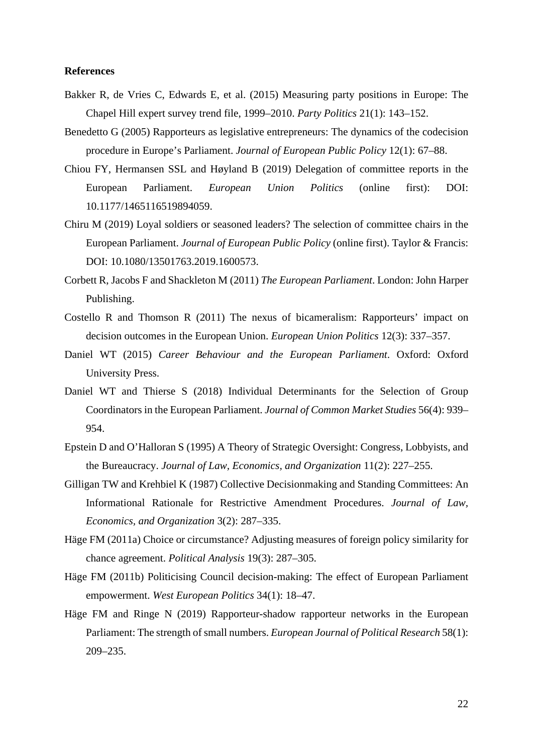#### **References**

- Bakker R, de Vries C, Edwards E, et al. (2015) Measuring party positions in Europe: The Chapel Hill expert survey trend file, 1999–2010. *Party Politics* 21(1): 143–152.
- Benedetto G (2005) Rapporteurs as legislative entrepreneurs: The dynamics of the codecision procedure in Europe's Parliament. *Journal of European Public Policy* 12(1): 67–88.
- <span id="page-22-0"></span>Chiou FY, Hermansen SSL and Høyland B (2019) Delegation of committee reports in the European Parliament. *European Union Politics* (online first): DOI: 10.1177/1465116519894059.
- <span id="page-22-1"></span>Chiru M (2019) Loyal soldiers or seasoned leaders? The selection of committee chairs in the European Parliament. *Journal of European Public Policy* (online first). Taylor & Francis: DOI: 10.1080/13501763.2019.1600573.
- <span id="page-22-2"></span>Corbett R, Jacobs F and Shackleton M (2011) *The European Parliament*. London: John Harper Publishing.
- Costello R and Thomson R (2011) The nexus of bicameralism: Rapporteurs' impact on decision outcomes in the European Union. *European Union Politics* 12(3): 337–357.
- Daniel WT (2015) *Career Behaviour and the European Parliament*. Oxford: Oxford University Press.
- Daniel WT and Thierse S (2018) Individual Determinants for the Selection of Group Coordinators in the European Parliament. *Journal of Common Market Studies* 56(4): 939– 954.
- Epstein D and O'Halloran S (1995) A Theory of Strategic Oversight: Congress, Lobbyists, and the Bureaucracy. *Journal of Law, Economics, and Organization* 11(2): 227–255.
- Gilligan TW and Krehbiel K (1987) Collective Decisionmaking and Standing Committees: An Informational Rationale for Restrictive Amendment Procedures. *Journal of Law, Economics, and Organization* 3(2): 287–335.
- Häge FM (2011a) Choice or circumstance? Adjusting measures of foreign policy similarity for chance agreement. *Political Analysis* 19(3): 287–305.
- Häge FM (2011b) Politicising Council decision-making: The effect of European Parliament empowerment. *West European Politics* 34(1): 18–47.
- Häge FM and Ringe N (2019) Rapporteur-shadow rapporteur networks in the European Parliament: The strength of small numbers. *European Journal of Political Research* 58(1): 209–235.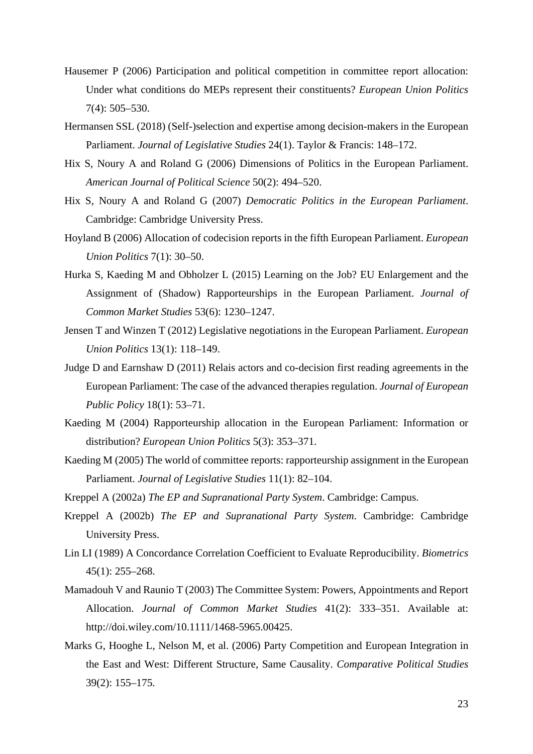- Hausemer P (2006) Participation and political competition in committee report allocation: Under what conditions do MEPs represent their constituents? *European Union Politics* 7(4): 505–530.
- Hermansen SSL (2018) (Self-)selection and expertise among decision-makers in the European Parliament. *Journal of Legislative Studies* 24(1). Taylor & Francis: 148–172.
- Hix S, Noury A and Roland G (2006) Dimensions of Politics in the European Parliament. *American Journal of Political Science* 50(2): 494–520.
- Hix S, Noury A and Roland G (2007) *Democratic Politics in the European Parliament*. Cambridge: Cambridge University Press.
- Hoyland B (2006) Allocation of codecision reports in the fifth European Parliament. *European Union Politics* 7(1): 30–50.
- Hurka S, Kaeding M and Obholzer L (2015) Learning on the Job? EU Enlargement and the Assignment of (Shadow) Rapporteurships in the European Parliament. *Journal of Common Market Studies* 53(6): 1230–1247.
- Jensen T and Winzen T (2012) Legislative negotiations in the European Parliament. *European Union Politics* 13(1): 118–149.
- <span id="page-23-0"></span>Judge D and Earnshaw D (2011) Relais actors and co-decision first reading agreements in the European Parliament: The case of the advanced therapies regulation. *Journal of European Public Policy* 18(1): 53–71.
- Kaeding M (2004) Rapporteurship allocation in the European Parliament: Information or distribution? *European Union Politics* 5(3): 353–371.
- Kaeding M (2005) The world of committee reports: rapporteurship assignment in the European Parliament. *Journal of Legislative Studies* 11(1): 82–104.
- Kreppel A (2002a) *The EP and Supranational Party System*. Cambridge: Campus.
- Kreppel A (2002b) *The EP and Supranational Party System*. Cambridge: Cambridge University Press.
- Lin LI (1989) A Concordance Correlation Coefficient to Evaluate Reproducibility. *Biometrics* 45(1): 255–268.
- Mamadouh V and Raunio T (2003) The Committee System: Powers, Appointments and Report Allocation. *Journal of Common Market Studies* 41(2): 333–351. Available at: http://doi.wiley.com/10.1111/1468-5965.00425.
- Marks G, Hooghe L, Nelson M, et al. (2006) Party Competition and European Integration in the East and West: Different Structure, Same Causality. *Comparative Political Studies* 39(2): 155–175.